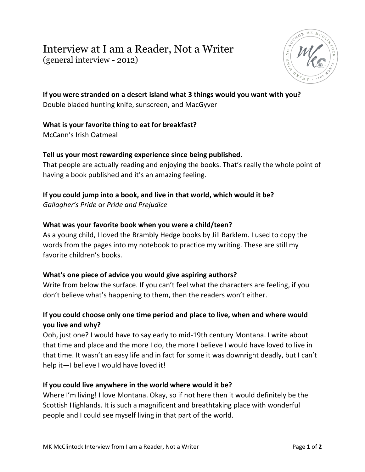# Interview at I am a Reader, Not a Writer (general interview - 2012)



**If you were stranded on a desert island what 3 things would you want with you?** Double bladed hunting knife, sunscreen, and MacGyver

## **What is your favorite thing to eat for breakfast?**

McCann's Irish Oatmeal

### **Tell us your most rewarding experience since being published.**

That people are actually reading and enjoying the books. That's really the whole point of having a book published and it's an amazing feeling.

# **If you could jump into a book, and live in that world, which would it be?**

*Gallagher's Pride* or *Pride and Prejudice*

#### **What was your favorite book when you were a child/teen?**

As a young child, I loved the Brambly Hedge books by Jill Barklem. I used to copy the words from the pages into my notebook to practice my writing. These are still my favorite children's books.

#### **What's one piece of advice you would give aspiring authors?**

Write from below the surface. If you can't feel what the characters are feeling, if you don't believe what's happening to them, then the readers won't either.

## **If you could choose only one time period and place to live, when and where would you live and why?**

Ooh, just one? I would have to say early to mid-19th century Montana. I write about that time and place and the more I do, the more I believe I would have loved to live in that time. It wasn't an easy life and in fact for some it was downright deadly, but I can't help it—I believe I would have loved it!

#### **If you could live anywhere in the world where would it be?**

Where I'm living! I love Montana. Okay, so if not here then it would definitely be the Scottish Highlands. It is such a magnificent and breathtaking place with wonderful people and I could see myself living in that part of the world.